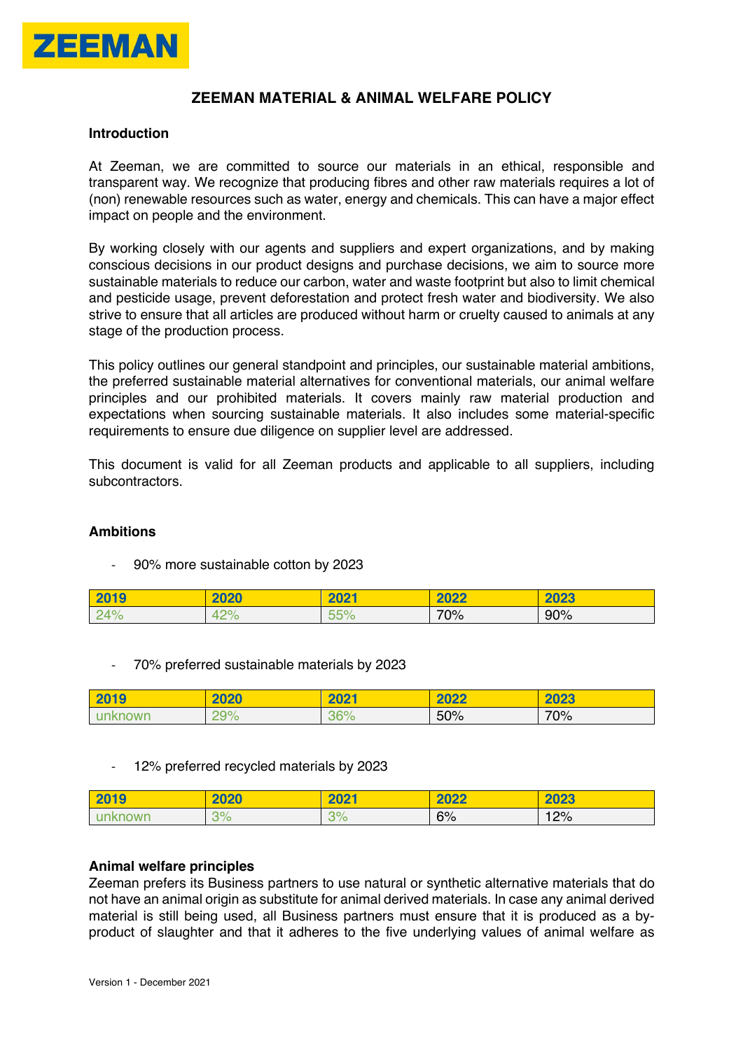

# **ZEEMAN MATERIAL & ANIMAL WELFARE POLICY**

#### **Introduction**

At Zeeman, we are committed to source our materials in an ethical, responsible and transparent way. We recognize that producing fibres and other raw materials requires a lot of (non) renewable resources such as water, energy and chemicals. This can have a major effect impact on people and the environment.

By working closely with our agents and suppliers and expert organizations, and by making conscious decisions in our product designs and purchase decisions, we aim to source more sustainable materials to reduce our carbon, water and waste footprint but also to limit chemical and pesticide usage, prevent deforestation and protect fresh water and biodiversity. We also strive to ensure that all articles are produced without harm or cruelty caused to animals at any stage of the production process.

This policy outlines our general standpoint and principles, our sustainable material ambitions, the preferred sustainable material alternatives for conventional materials, our animal welfare principles and our prohibited materials. It covers mainly raw material production and expectations when sourcing sustainable materials. It also includes some material-specific requirements to ensure due diligence on supplier level are addressed.

This document is valid for all Zeeman products and applicable to all suppliers, including subcontractors.

### **Ambitions**

- 90% more sustainable cotton by 2023

| 2019 | 2020 | 2021 | 2022 | 2023 |
|------|------|------|------|------|
| 24%  | 42%  | 55%  | 70%  | 90%  |

- 70% preferred sustainable materials by 2023

| 2019    | 2020 | 2021 | 2022 | 2023 |
|---------|------|------|------|------|
| unknown | 29%  | 36%  | 50%  | 70%  |

- 12% preferred recycled materials by 2023

| 2019    | 2020 | 2021       | 2022 | 2023 |
|---------|------|------------|------|------|
| unknown | 3%   | ാഠ<br>ە  ت | 6%   | 12%  |

### **Animal welfare principles**

Zeeman prefers its Business partners to use natural or synthetic alternative materials that do not have an animal origin as substitute for animal derived materials. In case any animal derived material is still being used, all Business partners must ensure that it is produced as a byproduct of slaughter and that it adheres to the five underlying values of animal welfare as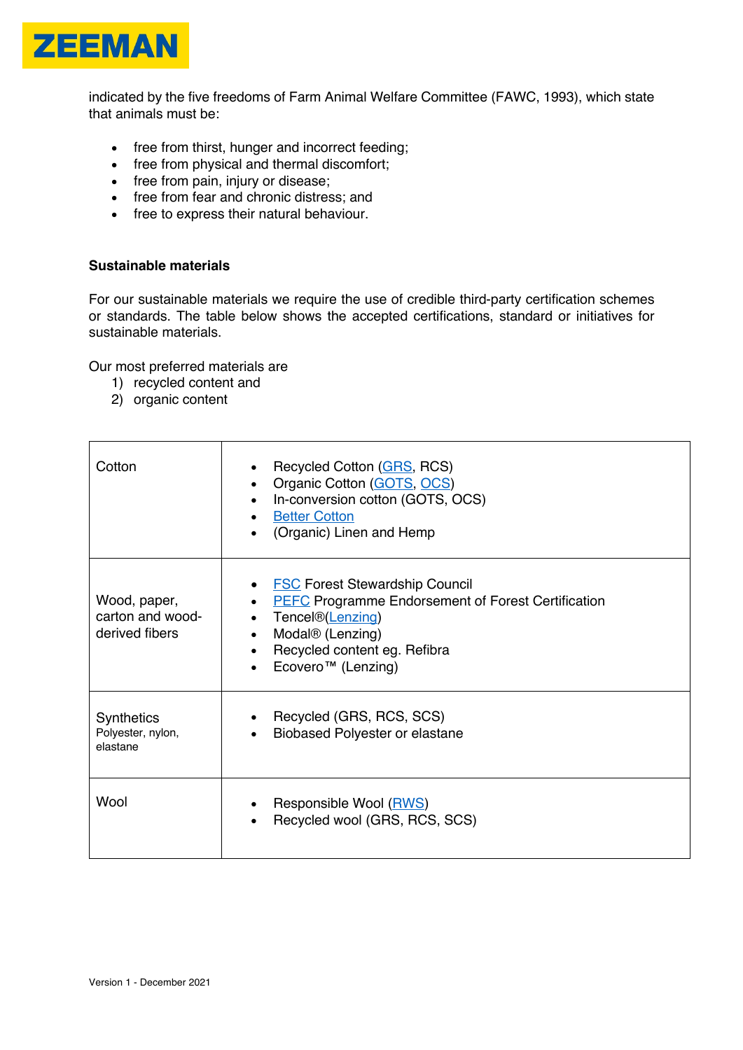

indicated by the five freedoms of Farm Animal Welfare Committee (FAWC, 1993), which state that animals must be:

- free from thirst, hunger and incorrect feeding;
- free from physical and thermal discomfort;
- free from pain, injury or disease;
- free from fear and chronic distress; and
- free to express their natural behaviour.

## **Sustainable materials**

For our sustainable materials we require the use of credible third-party certification schemes or standards. The table below shows the accepted certifications, standard or initiatives for sustainable materials.

Our most preferred materials are

- 1) recycled content and
- 2) organic content

| Cotton                                             | Recycled Cotton (GRS, RCS)<br>Organic Cotton (GOTS, OCS)<br>In-conversion cotton (GOTS, OCS)<br><b>Better Cotton</b><br>(Organic) Linen and Hemp                                                                                      |
|----------------------------------------------------|---------------------------------------------------------------------------------------------------------------------------------------------------------------------------------------------------------------------------------------|
| Wood, paper,<br>carton and wood-<br>derived fibers | <b>FSC Forest Stewardship Council</b><br><b>PEFC Programme Endorsement of Forest Certification</b><br>Tencel®(Lenzing)<br>Modal <sup>®</sup> (Lenzing)<br>$\bullet$<br>Recycled content eg. Refibra<br>Ecovero <sup>™</sup> (Lenzing) |
| <b>Synthetics</b><br>Polyester, nylon,<br>elastane | Recycled (GRS, RCS, SCS)<br>Biobased Polyester or elastane                                                                                                                                                                            |
| Wool                                               | Responsible Wool (RWS)<br>Recycled wool (GRS, RCS, SCS)                                                                                                                                                                               |